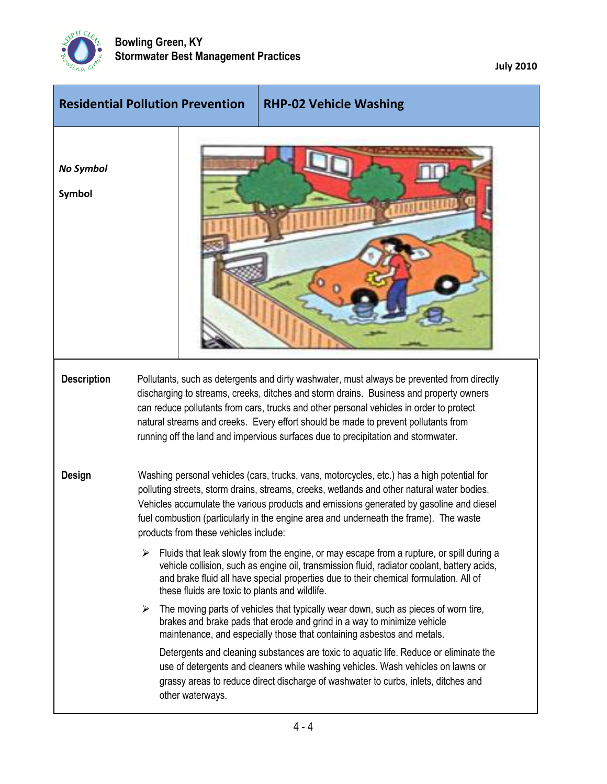

**July 2010**

|                            | <b>Residential Pollution Prevention</b> | <b>RHP-02 Vehicle Washing</b>                                                                                                                                                                                                                                                                                                                                                                                                                                                                                                                                                                                                                                                                                                                                                                                                                                                                                                                                                                                                                                                                                                                                                                                                                                              |  |
|----------------------------|-----------------------------------------|----------------------------------------------------------------------------------------------------------------------------------------------------------------------------------------------------------------------------------------------------------------------------------------------------------------------------------------------------------------------------------------------------------------------------------------------------------------------------------------------------------------------------------------------------------------------------------------------------------------------------------------------------------------------------------------------------------------------------------------------------------------------------------------------------------------------------------------------------------------------------------------------------------------------------------------------------------------------------------------------------------------------------------------------------------------------------------------------------------------------------------------------------------------------------------------------------------------------------------------------------------------------------|--|
| No Symbol<br><b>Symbol</b> |                                         |                                                                                                                                                                                                                                                                                                                                                                                                                                                                                                                                                                                                                                                                                                                                                                                                                                                                                                                                                                                                                                                                                                                                                                                                                                                                            |  |
| <b>Description</b>         |                                         | Pollutants, such as detergents and dirty washwater, must always be prevented from directly<br>discharging to streams, creeks, ditches and storm drains. Business and property owners<br>can reduce pollutants from cars, trucks and other personal vehicles in order to protect<br>natural streams and creeks. Every effort should be made to prevent pollutants from<br>running off the land and impervious surfaces due to precipitation and stormwater.                                                                                                                                                                                                                                                                                                                                                                                                                                                                                                                                                                                                                                                                                                                                                                                                                 |  |
| <b>Design</b>              | ➤<br>➤                                  | Washing personal vehicles (cars, trucks, vans, motorcycles, etc.) has a high potential for<br>polluting streets, storm drains, streams, creeks, wetlands and other natural water bodies.<br>Vehicles accumulate the various products and emissions generated by gasoline and diesel<br>fuel combustion (particularly in the engine area and underneath the frame). The waste<br>products from these vehicles include:<br>Fluids that leak slowly from the engine, or may escape from a rupture, or spill during a<br>vehicle collision, such as engine oil, transmission fluid, radiator coolant, battery acids,<br>and brake fluid all have special properties due to their chemical formulation. All of<br>these fluids are toxic to plants and wildlife.<br>The moving parts of vehicles that typically wear down, such as pieces of worn tire,<br>brakes and brake pads that erode and grind in a way to minimize vehicle<br>maintenance, and especially those that containing asbestos and metals.<br>Detergents and cleaning substances are toxic to aquatic life. Reduce or eliminate the<br>use of detergents and cleaners while washing vehicles. Wash vehicles on lawns or<br>grassy areas to reduce direct discharge of washwater to curbs, inlets, ditches and |  |
|                            | other waterways.                        |                                                                                                                                                                                                                                                                                                                                                                                                                                                                                                                                                                                                                                                                                                                                                                                                                                                                                                                                                                                                                                                                                                                                                                                                                                                                            |  |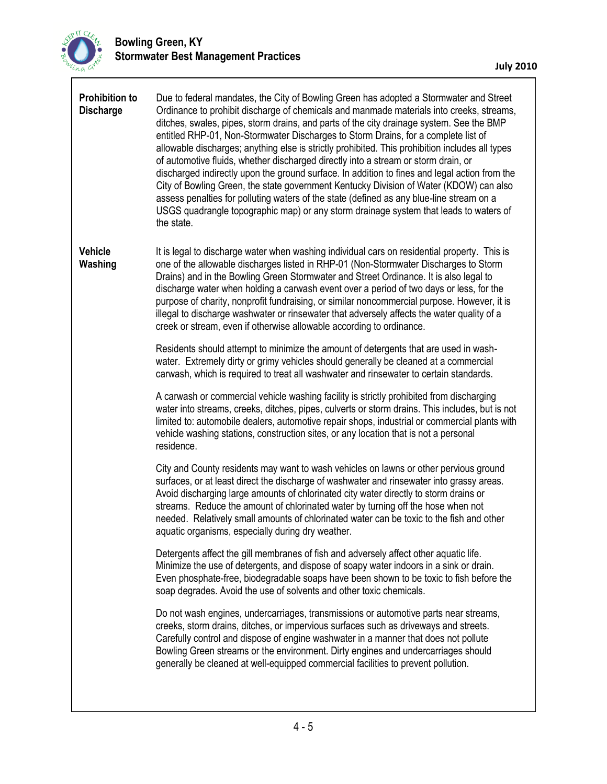

 $\lceil$ 

| <b>Prohibition to</b><br><b>Discharge</b> | Due to federal mandates, the City of Bowling Green has adopted a Stormwater and Street<br>Ordinance to prohibit discharge of chemicals and manmade materials into creeks, streams,<br>ditches, swales, pipes, storm drains, and parts of the city drainage system. See the BMP<br>entitled RHP-01, Non-Stormwater Discharges to Storm Drains, for a complete list of<br>allowable discharges; anything else is strictly prohibited. This prohibition includes all types<br>of automotive fluids, whether discharged directly into a stream or storm drain, or<br>discharged indirectly upon the ground surface. In addition to fines and legal action from the<br>City of Bowling Green, the state government Kentucky Division of Water (KDOW) can also<br>assess penalties for polluting waters of the state (defined as any blue-line stream on a<br>USGS quadrangle topographic map) or any storm drainage system that leads to waters of<br>the state. |
|-------------------------------------------|-------------------------------------------------------------------------------------------------------------------------------------------------------------------------------------------------------------------------------------------------------------------------------------------------------------------------------------------------------------------------------------------------------------------------------------------------------------------------------------------------------------------------------------------------------------------------------------------------------------------------------------------------------------------------------------------------------------------------------------------------------------------------------------------------------------------------------------------------------------------------------------------------------------------------------------------------------------|
| <b>Vehicle</b><br>Washing                 | It is legal to discharge water when washing individual cars on residential property. This is<br>one of the allowable discharges listed in RHP-01 (Non-Stormwater Discharges to Storm<br>Drains) and in the Bowling Green Stormwater and Street Ordinance. It is also legal to<br>discharge water when holding a carwash event over a period of two days or less, for the<br>purpose of charity, nonprofit fundraising, or similar noncommercial purpose. However, it is<br>illegal to discharge washwater or rinsewater that adversely affects the water quality of a<br>creek or stream, even if otherwise allowable according to ordinance.                                                                                                                                                                                                                                                                                                               |
|                                           | Residents should attempt to minimize the amount of detergents that are used in wash-<br>water. Extremely dirty or grimy vehicles should generally be cleaned at a commercial<br>carwash, which is required to treat all washwater and rinsewater to certain standards.                                                                                                                                                                                                                                                                                                                                                                                                                                                                                                                                                                                                                                                                                      |
|                                           | A carwash or commercial vehicle washing facility is strictly prohibited from discharging<br>water into streams, creeks, ditches, pipes, culverts or storm drains. This includes, but is not<br>limited to: automobile dealers, automotive repair shops, industrial or commercial plants with<br>vehicle washing stations, construction sites, or any location that is not a personal<br>residence.                                                                                                                                                                                                                                                                                                                                                                                                                                                                                                                                                          |
|                                           | City and County residents may want to wash vehicles on lawns or other pervious ground<br>surfaces, or at least direct the discharge of washwater and rinsewater into grassy areas.<br>Avoid discharging large amounts of chlorinated city water directly to storm drains or<br>streams. Reduce the amount of chlorinated water by turning off the hose when not<br>needed. Relatively small amounts of chlorinated water can be toxic to the fish and other<br>aquatic organisms, especially during dry weather.                                                                                                                                                                                                                                                                                                                                                                                                                                            |
|                                           | Detergents affect the gill membranes of fish and adversely affect other aquatic life.<br>Minimize the use of detergents, and dispose of soapy water indoors in a sink or drain.<br>Even phosphate-free, biodegradable soaps have been shown to be toxic to fish before the<br>soap degrades. Avoid the use of solvents and other toxic chemicals.                                                                                                                                                                                                                                                                                                                                                                                                                                                                                                                                                                                                           |
|                                           | Do not wash engines, undercarriages, transmissions or automotive parts near streams,<br>creeks, storm drains, ditches, or impervious surfaces such as driveways and streets.<br>Carefully control and dispose of engine washwater in a manner that does not pollute<br>Bowling Green streams or the environment. Dirty engines and undercarriages should<br>generally be cleaned at well-equipped commercial facilities to prevent pollution.                                                                                                                                                                                                                                                                                                                                                                                                                                                                                                               |
|                                           |                                                                                                                                                                                                                                                                                                                                                                                                                                                                                                                                                                                                                                                                                                                                                                                                                                                                                                                                                             |